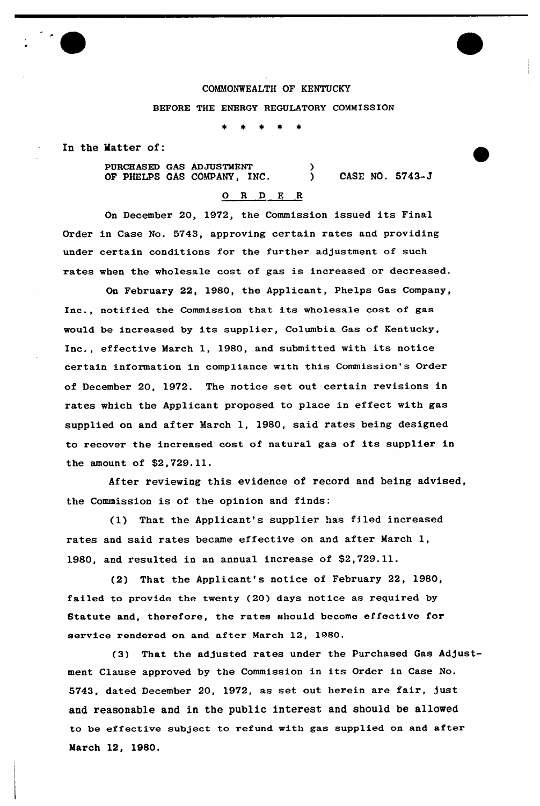### COMMONWEALTH OF KENTUCKY

### BEFORE THE ENERGY REGULATORY COMMISSION

In the Matter of:

PURCHASED GAS ADJUSTMENT OF PHELPS GAS COMPANY, INC.  $\mathbf{\hat{}}$ ) CASE NO. 8743-J

# 0 <sup>R</sup> <sup>D</sup> E <sup>R</sup>

On December 20, 1972, the Commission issued its Final Order in Case No. 5743, approving certain rates and providing under certain conditions for the further adjustment of such rates when the wholesale cost of gas is increased or decreased.

On February 22, 1980, the Applicant, Phelps Gas Company, Inc., notified the Commission that its wholesale cost of gas would be increased by its supplier, Columbia Gas of Kentucky, Inc., effective March 1., 1980, and submitted with its notice certain information in compliance with this Commission's Order of December 20, 1972. The notice set out certain revisions in rates which the Applicant proposed to place in effect with gas supplied on and after March 1, 1980, said rates being designed to recover the increased cost of natural gas of its supplier in the amount of \$2,729.11.

After reviewing this evidence of record and being advised, the Commission is of the opinion and finds:

{1} That the Applicant's supplier has filed increased rates and said rates became effective on and after March 1, 1980, and resulted in an annual increase of \$2,729.11.

(2) That the Applicant's notice of February 22, 1980, failed to provide the twenty (20) days notice as required by Statute and, therefore, the rates should become effectivo for service rendered on and after March 12, 1980.

(3) That the adjusted rates under the Purchased Gas Adjustment Clause approved by the Commission in its Order in Case No. 5743, dated December 20, 1972, as set out herein are fair, just and reasonable and in the public interest and should be allowed to be effective subject to refund with gas supplied on and after March 12, 1980.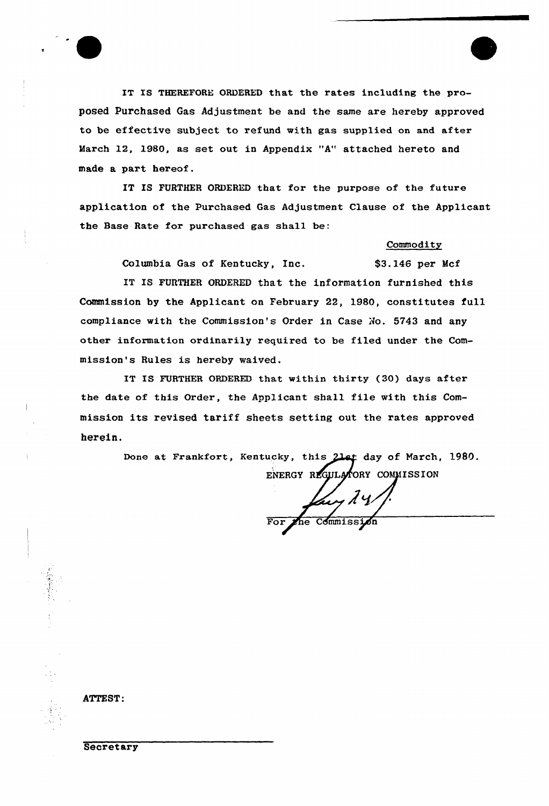

IT IS FURTHER ORDERED that for the purpose of the future application of the Purchased Gas Adjustment Clause of the Applicant the Base Rate for purchased gas shall be:

## Commodity

\$3.146 per Mcf

Columbia Gas of Kentucky, Inc.

IT IS FURTHER ORDERED that the information furnished this Commission by the Applicant on February 22, 1980, constitutes full compliance with the Commission's Order in Case No. 5743 and any other information ordinarily required to be filed under the Commission's Rules is hereby waived.

IT IS FURTHER ORDERED that within thirty (30) days after the date of this Order, the Applicant shall file with this Commission its revised tariff sheets setting out the rates approved herein.

> Done at Frankfort, Kentucky, this 21st day of March, 1980. ENERGY REGULATORY COMMISSION

any 24/ Commission

ATTEST:

Secretary